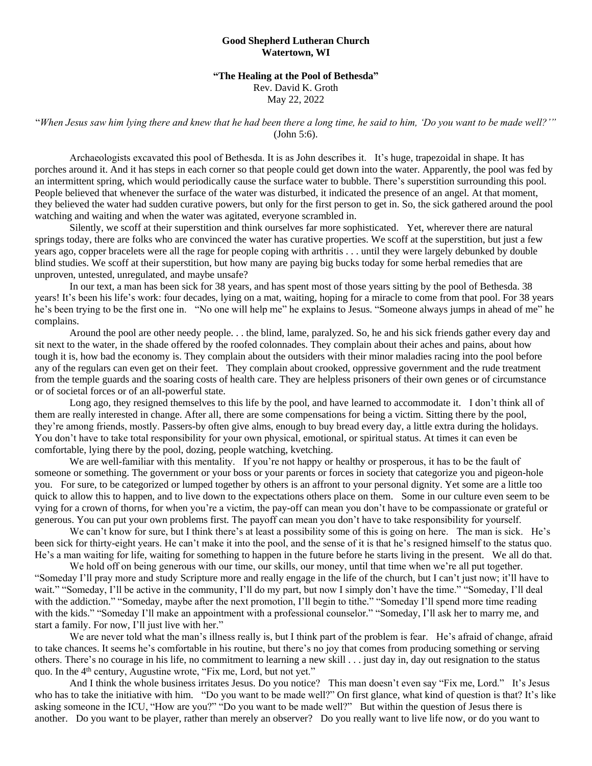## **Good Shepherd Lutheran Church Watertown, WI**

## **"The Healing at the Pool of Bethesda"**

Rev. David K. Groth

May 22, 2022

"*When Jesus saw him lying there and knew that he had been there a long time, he said to him, 'Do you want to be made well?'"*  (John 5:6).

Archaeologists excavated this pool of Bethesda. It is as John describes it. It's huge, trapezoidal in shape. It has porches around it. And it has steps in each corner so that people could get down into the water. Apparently, the pool was fed by an intermittent spring, which would periodically cause the surface water to bubble. There's superstition surrounding this pool. People believed that whenever the surface of the water was disturbed, it indicated the presence of an angel. At that moment, they believed the water had sudden curative powers, but only for the first person to get in. So, the sick gathered around the pool watching and waiting and when the water was agitated, everyone scrambled in.

Silently, we scoff at their superstition and think ourselves far more sophisticated. Yet, wherever there are natural springs today, there are folks who are convinced the water has curative properties. We scoff at the superstition, but just a few years ago, copper bracelets were all the rage for people coping with arthritis . . . until they were largely debunked by double blind studies. We scoff at their superstition, but how many are paying big bucks today for some herbal remedies that are unproven, untested, unregulated, and maybe unsafe?

In our text, a man has been sick for 38 years, and has spent most of those years sitting by the pool of Bethesda. 38 years! It's been his life's work: four decades, lying on a mat, waiting, hoping for a miracle to come from that pool. For 38 years he's been trying to be the first one in. "No one will help me" he explains to Jesus. "Someone always jumps in ahead of me" he complains.

Around the pool are other needy people. . . the blind, lame, paralyzed. So, he and his sick friends gather every day and sit next to the water, in the shade offered by the roofed colonnades. They complain about their aches and pains, about how tough it is, how bad the economy is. They complain about the outsiders with their minor maladies racing into the pool before any of the regulars can even get on their feet. They complain about crooked, oppressive government and the rude treatment from the temple guards and the soaring costs of health care. They are helpless prisoners of their own genes or of circumstance or of societal forces or of an all-powerful state.

Long ago, they resigned themselves to this life by the pool, and have learned to accommodate it. I don't think all of them are really interested in change. After all, there are some compensations for being a victim. Sitting there by the pool, they're among friends, mostly. Passers-by often give alms, enough to buy bread every day, a little extra during the holidays. You don't have to take total responsibility for your own physical, emotional, or spiritual status. At times it can even be comfortable, lying there by the pool, dozing, people watching, kvetching.

We are well-familiar with this mentality. If you're not happy or healthy or prosperous, it has to be the fault of someone or something. The government or your boss or your parents or forces in society that categorize you and pigeon-hole you. For sure, to be categorized or lumped together by others is an affront to your personal dignity. Yet some are a little too quick to allow this to happen, and to live down to the expectations others place on them. Some in our culture even seem to be vying for a crown of thorns, for when you're a victim, the pay-off can mean you don't have to be compassionate or grateful or generous. You can put your own problems first. The payoff can mean you don't have to take responsibility for yourself.

We can't know for sure, but I think there's at least a possibility some of this is going on here. The man is sick. He's been sick for thirty-eight years. He can't make it into the pool, and the sense of it is that he's resigned himself to the status quo. He's a man waiting for life, waiting for something to happen in the future before he starts living in the present. We all do that.

We hold off on being generous with our time, our skills, our money, until that time when we're all put together. "Someday I'll pray more and study Scripture more and really engage in the life of the church, but I can't just now; it'll have to wait." "Someday, I'll be active in the community, I'll do my part, but now I simply don't have the time." "Someday, I'll deal with the addiction." "Someday, maybe after the next promotion, I'll begin to tithe." "Someday I'll spend more time reading with the kids." "Someday I'll make an appointment with a professional counselor." "Someday, I'll ask her to marry me, and start a family. For now, I'll just live with her."

We are never told what the man's illness really is, but I think part of the problem is fear. He's afraid of change, afraid to take chances. It seems he's comfortable in his routine, but there's no joy that comes from producing something or serving others. There's no courage in his life, no commitment to learning a new skill . . . just day in, day out resignation to the status quo. In the 4<sup>th</sup> century, Augustine wrote, "Fix me, Lord, but not yet."

And I think the whole business irritates Jesus. Do you notice? This man doesn't even say "Fix me, Lord." It's Jesus who has to take the initiative with him. "Do you want to be made well?" On first glance, what kind of question is that? It's like asking someone in the ICU, "How are you?" "Do you want to be made well?" But within the question of Jesus there is another. Do you want to be player, rather than merely an observer? Do you really want to live life now, or do you want to